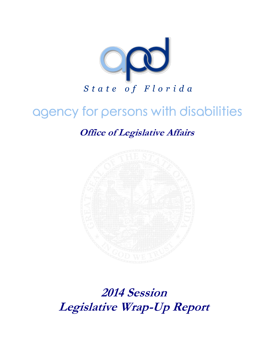

# agency for persons with disabilities

**Office of Legislative Affairs**



**2014 Session Legislative Wrap-Up Report**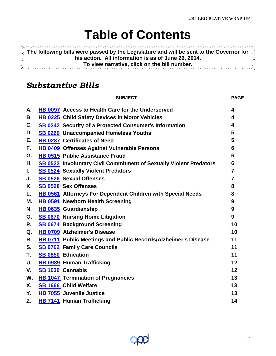# **Table of Contents**

<span id="page-1-0"></span>**11999999 The following bills were passed by the Legislature and will be sent to the Governor for his action. All information is as of June 26, 2014. To view narrative, click on the bill number.** Ř,

### *Substantive Bills*

|    | <b>SUBJECT</b>                                                     | <b>PAGE</b>             |
|----|--------------------------------------------------------------------|-------------------------|
| А. | HB 0097 Access to Health Care for the Underserved                  | $\boldsymbol{4}$        |
| В. | HB 0225 Child Safety Devices in Motor Vehicles                     | 4                       |
| C. | SB 0242 Security of a Protected Consumer's Information             | $\overline{\mathbf{4}}$ |
| D. | SB 0260 Unaccompanied Homeless Youths                              | 5                       |
| Е. | HB 0287 Certificates of Need                                       | 5                       |
| F. | HB 0409 Offenses Against Vulnerable Persons                        | 6                       |
| G. | HB 0515 Public Assistance Fraud                                    | 6                       |
| Н. | SB 0522 Involuntary Civil Commitment of Sexually Violent Predators | 6                       |
| L. | <b>SB 0524</b> Sexually Violent Predators                          | $\overline{7}$          |
| J. | <b>SB 0526 Sexual Offenses</b>                                     | $\overline{7}$          |
| Κ. | SB 0528 Sex Offenses                                               | 8                       |
| L. | HB 0561 Attorneys For Dependent Children with Special Needs        | 8                       |
| М. | HB 0591 Newborn Health Screening                                   | 9                       |
| N. | HB 0635 Guardianship                                               | 9                       |
| О. | <b>SB 0670</b> Nursing Home Litigation                             | $9^{\circ}$             |
| Ρ. | <b>SB 0674 Background Screening</b>                                | 10                      |
| Q. | HB 0709 Alzheimer's Disease                                        | 10                      |
| R. | HB 0711 Public Meetings and Public Records/Alzheimer's Disease     | 11                      |
| S. | <b>SB 0762 Family Care Councils</b>                                | 11                      |
| Τ. | <b>SB 0850 Education</b>                                           | 11                      |
| U. | <b>HB 0989 Human Trafficking</b>                                   | 12                      |
| V. | SB 1030 Cannabis                                                   | 12                      |
| W. | <b>HB 1047 Termination of Pregnancies</b>                          | 13                      |
| Х. | SB 1666 Child Welfare                                              | 13                      |
| Υ. | HB 7055 Juvenile Justice                                           | 13                      |
| Z. | <b>HB 7141 Human Trafficking</b>                                   | 14                      |

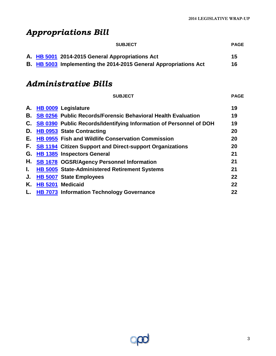## *Appropriations Bill*

| <b>SUBJECT</b>                                                          | <b>PAGE</b> |
|-------------------------------------------------------------------------|-------------|
| A. HB 5001 2014-2015 General Appropriations Act                         | -15         |
| <b>B.</b> HB 5003 Implementing the 2014-2015 General Appropriations Act | 16          |

### *Administrative Bills*

|    | <b>SUBJECT</b>                                                      | <b>PAGE</b> |
|----|---------------------------------------------------------------------|-------------|
| А. | HB 0009 Legislature                                                 | 19          |
| В. | <b>SB 0256 Public Records/Forensic Behavioral Health Evaluation</b> | 19          |
| C. | SB 0390 Public Records/Identifying Information of Personnel of DOH  | 19          |
| D. | <b>HB 0953 State Contracting</b>                                    | 20          |
| Е. | <b>HB 0955 Fish and Wildlife Conservation Commission</b>            | 20          |
| F. | <b>SB 1194 Citizen Support and Direct-support Organizations</b>     | 20          |
|    | G. HB 1385 Inspectors General                                       | 21          |
|    | H. SB 1678 OGSR/Agency Personnel Information                        | 21          |
| L. | HB 5005 State-Administered Retirement Systems                       | 21          |
| J. | <b>HB 5007 State Employees</b>                                      | 22          |
| Κ. | HB 5201 Medicaid                                                    | 22          |
| L. | <b>HB 7073 Information Technology Governance</b>                    | 22          |
|    |                                                                     |             |

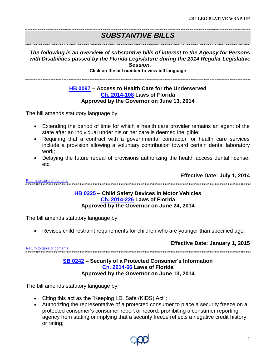## *SUBSTANTIVE BILLS*

### *The following is an overview of substantive bills of interest to the Agency for Persons with Disabilities passed by the Florida Legislature during the 2014 Regular Legislative Session.*

**Click on the bill number to view bill language** 

<span id="page-3-0"></span>.<br>דעמיד שנה בעיר הערכים של שני בעיר עומד שנה מערכים בעיר שנה מערכים של מערכים בעיר שנה מערכים בעיר שנה בשנה מערכ

#### **[HB 0097](http://www.myfloridahouse.gov/Sections/Documents/loaddoc.aspx?FileName=_h0097er.docx&DocumentType=Bill&BillNumber=0097&Session=2014) – Access to Health Care for the Underserved [Ch. 2014-108](http://laws.flrules.org/2014/108) Laws of Florida Approved by the Governor on June 13, 2014**

The bill amends statutory language by:

- Extending the period of time for which a health care provider remains an agent of the state after an individual under his or her care is deemed ineligible;
- Requiring that a contract with a governmental contractor for health care services include a provision allowing a voluntary contribution toward certain dental laboratory work;
- Delaying the future repeal of provisions authorizing the health access dental license, etc.

<span id="page-3-1"></span>[Return to table of contents](#page-1-0)

**Effective Date: July 1, 2014**

#### **[HB 0225](http://www.myfloridahouse.gov/Sections/Documents/loaddoc.aspx?FileName=_h0225er.docx&DocumentType=Bill&BillNumber=0225&Session=2014) – Child Safety Devices in Motor Vehicles [Ch. 2014-226](http://laws.flrules.org/2014/226) Laws of Florida Approved by the Governor on June 24, 2014**

The bill amends statutory language by:

Revises child restraint requirements for children who are younger than specified age.

**Effective Date: January 1, 2015**

<span id="page-3-2"></span>[Return to table of contents](#page-1-0)

### **[SB 0242](http://www.flsenate.gov/Session/Bill/2014/0242/BillText/er/PDF) – Security of a Protected Consumer's Information [Ch. 2014-66](http://laws.flrules.org/2014/66) Laws of Florida**

.<br>מרושרוט הרשרוש המרושרים ושל מודיע מודעות מודעות מודעות מודעות מודעות מודעות מודעות מודעות מודעות מודעות מודעות

### **Approved by the Governor on June 13, 2014**

- Citing this act as the "Keeping I.D. Safe (KIDS) Act";
- Authorizing the representative of a protected consumer to place a security freeze on a protected consumer's consumer report or record; prohibiting a consumer reporting agency from stating or implying that a security freeze reflects a negative credit history or rating;

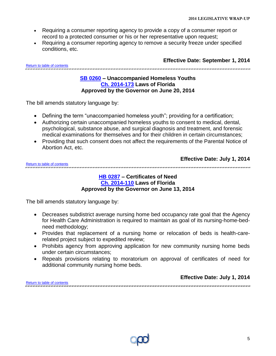- Requiring a consumer reporting agency to provide a copy of a consumer report or record to a protected consumer or his or her representative upon request;
- Requiring a consumer reporting agency to remove a security freeze under specified conditions, etc.

<span id="page-4-0"></span>[Return to table of contents](#page-1-0)

**Effective Date: September 1, 2014**

#### **[SB 0260](http://www.flsenate.gov/Session/Bill/2014/0260/BillText/er/PDF) – Unaccompanied Homeless Youths [Ch. 2014-173](http://laws.flrules.org/2014/173) Laws of Florida Approved by the Governor on June 20, 2014**

The bill amends statutory language by:

- Defining the term "unaccompanied homeless youth"; providing for a certification;
- Authorizing certain unaccompanied homeless youths to consent to medical, dental, psychological, substance abuse, and surgical diagnosis and treatment, and forensic medical examinations for themselves and for their children in certain circumstances;
- Providing that such consent does not affect the requirements of the Parental Notice of Abortion Act, etc.

|                             | Effective Date: July 1, 2014 |
|-----------------------------|------------------------------|
| Deting to take at contents. |                              |

<span id="page-4-1"></span>[Return to table of contents](#page-1-0) 

#### **[HB 0287](http://www.myfloridahouse.gov/Sections/Documents/loaddoc.aspx?FileName=_h0287er.docx&DocumentType=Bill&BillNumber=0287&Session=2014) – Certificates of Need [Ch. 2014-110](http://laws.flrules.org/2014/110) Laws of Florida Approved by the Governor on June 13, 2014**

- Decreases subdistrict average nursing home bed occupancy rate goal that the Agency for Health Care Administration is required to maintain as goal of its nursing-home-bedneed methodology;
- Provides that replacement of a nursing home or relocation of beds is health-carerelated project subject to expedited review;
- Prohibits agency from approving application for new community nursing home beds under certain circumstances;
- Repeals provisions relating to moratorium on approval of certificates of need for additional community nursing home beds.

<span id="page-4-2"></span>

|                            | <b>Effective Date: July 1, 2014</b> |
|----------------------------|-------------------------------------|
| eturn to table of contents |                                     |
|                            |                                     |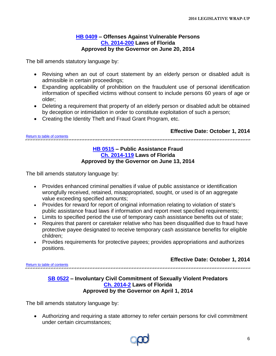#### **[HB 0409](http://www.myfloridahouse.gov/Sections/Documents/loaddoc.aspx?FileName=_h0409er.docx&DocumentType=Bill&BillNumber=0409&Session=2014) – Offenses Against Vulnerable Persons [Ch. 2014-200](http://laws.flrules.org/2014/200) Laws of Florida Approved by the Governor on June 20, 2014**

The bill amends statutory language by:

- Revising when an out of court statement by an elderly person or disabled adult is admissible in certain proceedings;
- Expanding applicability of prohibition on the fraudulent use of personal identification information of specified victims without consent to include persons 60 years of age or older;
- Deleting a requirement that property of an elderly person or disabled adult be obtained by deception or intimidation in order to constitute exploitation of such a person;
- Creating the Identity Theft and Fraud Grant Program, etc.

#### <span id="page-5-0"></span>**Effective Date: October 1, 2014** [Return to table of contents](#page-1-0)

#### **[HB 0515](http://www.myfloridahouse.gov/Sections/Documents/loaddoc.aspx?FileName=_h0515er.docx&DocumentType=Bill&BillNumber=0515&Session=2014) – Public Assistance Fraud Ch. [2014-119](http://laws.flrules.org/2014/119) Laws of Florida Approved by the Governor on June 13, 2014**

The bill amends statutory language by:

- Provides enhanced criminal penalties if value of public assistance or identification wrongfully received, retained, misappropriated, sought, or used is of an aggregate value exceeding specified amounts;
- Provides for reward for report of original information relating to violation of state's public assistance fraud laws if information and report meet specified requirements;
- Limits to specified period the use of temporary cash assistance benefits out of state;
- Requires that parent or caretaker relative who has been disqualified due to fraud have protective payee designated to receive temporary cash assistance benefits for eligible children;
- Provides requirements for protective payees; provides appropriations and authorizes positions.

### **Effective Date: October 1, 2014**

<span id="page-5-1"></span>[Return to table of contents](#page-1-0)

#### **[SB 0522](http://www.flsenate.gov/Session/Bill/2014/0522/BillText/er/PDF) – Involuntary Civil Commitment of Sexually Violent Predators [Ch. 2014-2](http://laws.flrules.org/2014/2) Laws of Florida Approved by the Governor on April 1, 2014**

The bill amends statutory language by:

 Authorizing and requiring a state attorney to refer certain persons for civil commitment under certain circumstances;

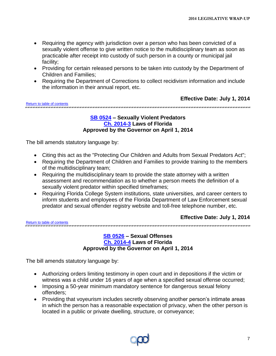- Requiring the agency with jurisdiction over a person who has been convicted of a sexually violent offense to give written notice to the multidisciplinary team as soon as practicable after receipt into custody of such person in a county or municipal jail facility;
- Providing for certain released persons to be taken into custody by the Department of Children and Families;
- Requiring the Department of Corrections to collect recidivism information and include the information in their annual report, etc.

#### **Effective Date: July 1, 2014**

<span id="page-6-0"></span>[Return to table of contents](#page-1-0)

#### 

#### **[SB 0524](http://www.flsenate.gov/Session/Bill/2014/0524/BillText/er/PDF) – Sexually Violent Predators [Ch. 2014-3](http://laws.flrules.org/2014/3) Laws of Florida Approved by the Governor on April 1, 2014**

The bill amends statutory language by:

- Citing this act as the "Protecting Our Children and Adults from Sexual Predators Act";
- Requiring the Department of Children and Families to provide training to the members of the multidisciplinary team;
- Requiring the multidisciplinary team to provide the state attorney with a written assessment and recommendation as to whether a person meets the definition of a sexually violent predator within specified timeframes;
- Requiring Florida College System institutions, state universities, and career centers to inform students and employees of the Florida Department of Law Enforcement sexual predator and sexual offender registry website and toll-free telephone number, etc.

[Return to table of contents](#page-1-0)

#### **Effective Date: July 1, 2014**

<span id="page-6-1"></span>

#### **[SB 0526](http://www.flsenate.gov/Session/Bill/2014/0526/BillText/er/PDF) – Sexual Offenses [Ch. 2014-4](http://laws.flrules.org/2014/4) Laws of Florida Approved by the Governor on April 1, 2014**

- Authorizing orders limiting testimony in open court and in depositions if the victim or witness was a child under 16 years of age when a specified sexual offense occurred;
- Imposing a 50-year minimum mandatory sentence for dangerous sexual felony offenders;
- Providing that voyeurism includes secretly observing another person's intimate areas in which the person has a reasonable expectation of privacy, when the other person is located in a public or private dwelling, structure, or conveyance;

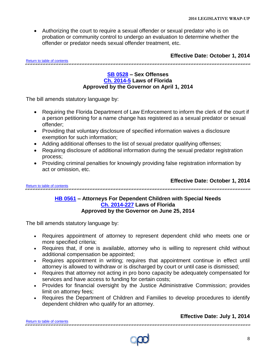Authorizing the court to require a sexual offender or sexual predator who is on probation or community control to undergo an evaluation to determine whether the offender or predator needs sexual offender treatment, etc.

**Effective Date: October 1, 2014**

<span id="page-7-0"></span>[Return to table of contents](#page-1-0)

#### **[SB 0528](http://www.flsenate.gov/Session/Bill/2014/0528/BillText/er/PDF) – Sex Offenses [Ch. 2014-5](http://laws.flrules.org/2014/5) Laws of Florida Approved by the Governor on April 1, 2014**

.<br>In the case of the case of the case of the case of the case of the case of the case of the case of the case of the case of the case of the case of the case of the case of the case of th

The bill amends statutory language by:

- Requiring the Florida Department of Law Enforcement to inform the clerk of the court if a person petitioning for a name change has registered as a sexual predator or sexual offender;
- Providing that voluntary disclosure of specified information waives a disclosure exemption for such information;
- Adding additional offenses to the list of sexual predator qualifying offenses;
- Requiring disclosure of additional information during the sexual predator registration process;
- Providing criminal penalties for knowingly providing false registration information by act or omission, etc.

**Effective Date: October 1, 2014**

<span id="page-7-1"></span>[Return to table of contents](#page-1-0)

#### **[HB 0561](http://www.myfloridahouse.gov/Sections/Documents/loaddoc.aspx?FileName=_h0561er.docx&DocumentType=Bill&BillNumber=0561&Session=2014) – Attorneys For Dependent Children with Special Needs [Ch. 2014-227](http://laws.flrules.org/2014/227) Laws of Florida Approved by the Governor on June 25, 2014**

The bill amends statutory language by:

- Requires appointment of attorney to represent dependent child who meets one or more specified criteria;
- Requires that, if one is available, attorney who is willing to represent child without additional compensation be appointed;
- Requires appointment in writing; requires that appointment continue in effect until attorney is allowed to withdraw or is discharged by court or until case is dismissed;
- Requires that attorney not acting in pro bono capacity be adequately compensated for services and have access to funding for certain costs;
- Provides for financial oversight by the Justice Administrative Commission; provides limit on attorney fees;
- Requires the Department of Children and Families to develop procedures to identify dependent children who qualify for an attorney.

#### **Effective Date: July 1, 2014**

[Return to table of contents](#page-1-0)

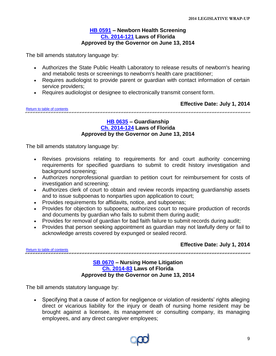#### **[HB 0591](http://www.myfloridahouse.gov/Sections/Documents/loaddoc.aspx?FileName=_h0591er.docx&DocumentType=Bill&BillNumber=0591&Session=2014) – Newborn Health Screening [Ch. 2014-121](http://laws.flrules.org/2014/121) Laws of Florida Approved by the Governor on June 13, 2014**

<span id="page-8-0"></span>The bill amends statutory language by:

- Authorizes the State Public Health Laboratory to release results of newborn's hearing and metabolic tests or screenings to newborn's health care practitioner;
- Requires audiologist to provide parent or guardian with contact information of certain service providers;
- Requires audiologist or designee to electronically transmit consent form.

**Effective Date: July 1, 2014**

<span id="page-8-1"></span>[Return to table of contents](#page-1-0)

#### **[HB 0635](http://www.myfloridahouse.gov/Sections/Documents/loaddoc.aspx?FileName=_h0635er.docx&DocumentType=Bill&BillNumber=0635&Session=2014) – Guardianship [Ch. 2014-124](http://laws.flrules.org/2014/124) Laws of Florida Approved by the Governor on June 13, 2014**

The bill amends statutory language by:

- Revises provisions relating to requirements for and court authority concerning requirements for specified guardians to submit to credit history investigation and background screening;
- Authorizes nonprofessional guardian to petition court for reimbursement for costs of investigation and screening;
- Authorizes clerk of court to obtain and review records impacting guardianship assets and to issue subpoenas to nonparties upon application to court;
- Provides requirements for affidavits, notice, and subpoenas;
- Provides for objection to subpoena; authorizes court to require production of records and documents by guardian who fails to submit them during audit;
- Provides for removal of guardian for bad faith failure to submit records during audit;
- Provides that person seeking appointment as guardian may not lawfully deny or fail to acknowledge arrests covered by expunged or sealed record.

### **Effective Date: July 1, 2014**

<span id="page-8-2"></span>[Return to table of contents](#page-1-0) 

#### **[SB 0670](http://www.flsenate.gov/Session/Bill/2014/0670/BillText/er/PDF) – Nursing Home Litigation [Ch. 2014-83](http://laws.flrules.org/2014/83) Laws of Florida Approved by the Governor on June 13, 2014**

The bill amends statutory language by:

• Specifying that a cause of action for negligence or violation of residents' rights alleging direct or vicarious liability for the injury or death of nursing home resident may be brought against a licensee, its management or consulting company, its managing employees, and any direct caregiver employees;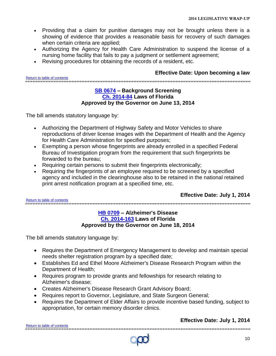- Providing that a claim for punitive damages may not be brought unless there is a showing of evidence that provides a reasonable basis for recovery of such damages when certain criteria are applied;
- Authorizing the Agency for Health Care Administration to suspend the license of a nursing home facility that fails to pay a judgment or settlement agreement;
- Revising procedures for obtaining the records of a resident, etc.

**Effective Date: Upon becoming a law**

<span id="page-9-0"></span>[Return to table of contents](#page-1-0)

#### **[SB 0674](http://www.flsenate.gov/Session/Bill/2014/0674/BillText/er/PDF) – Background Screening [Ch. 2014-84](http://laws.flrules.org/2014/84) Laws of Florida Approved by the Governor on June 13, 2014**

The bill amends statutory language by:

- Authorizing the Department of Highway Safety and Motor Vehicles to share reproductions of driver license images with the Department of Health and the Agency for Health Care Administration for specified purposes;
- Exempting a person whose fingerprints are already enrolled in a specified Federal Bureau of Investigation program from the requirement that such fingerprints be forwarded to the bureau;
- Requiring certain persons to submit their fingerprints electronically;
- Requiring the fingerprints of an employee required to be screened by a specified agency and included in the clearinghouse also to be retained in the national retained print arrest notification program at a specified time, etc.

**Effective Date: July 1, 2014**

<span id="page-9-1"></span>[Return to table of contents](#page-1-0)

#### **[HB 0709](http://www.myfloridahouse.gov/Sections/Documents/loaddoc.aspx?FileName=_h0709er.docx&DocumentType=Bill&BillNumber=0709&Session=2014) – Alzheimer's Disease [Ch. 2014-163](http://laws.flrules.org/2014/163) Laws of Florida Approved by the Governor on June 18, 2014**

The bill amends statutory language by:

- Requires the Department of Emergency Management to develop and maintain special needs shelter registration program by a specified date;
- Establishes Ed and Ethel Moore Alzheimer's Disease Research Program within the Department of Health;
- Requires program to provide grants and fellowships for research relating to Alzheimer's disease;
- Creates Alzheimer's Disease Research Grant Advisory Board;
- Requires report to Governor, Legislature, and State Surgeon General;
- Requires the Department of Elder Affairs to provide incentive based funding, subject to appropriation, for certain memory disorder clinics.

### **Effective Date: July 1, 2014**

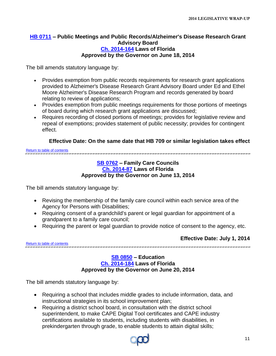#### <span id="page-10-0"></span>**[HB 0711](http://www.myfloridahouse.gov/Sections/Documents/loaddoc.aspx?FileName=_h0711er.docx&DocumentType=Bill&BillNumber=0711&Session=2014) – Public Meetings and Public Records/Alzheimer's Disease Research Grant Advisory Board [Ch. 2014-164](http://laws.flrules.org/2014/164) Laws of Florida Approved by the Governor on June 18, 2014**

The bill amends statutory language by:

- Provides exemption from public records requirements for research grant applications provided to Alzheimer's Disease Research Grant Advisory Board under Ed and Ethel Moore Alzheimer's Disease Research Program and records generated by board relating to review of applications;
- Provides exemption from public meetings requirements for those portions of meetings of board during which research grant applications are discussed;
- Requires recording of closed portions of meetings; provides for legislative review and repeal of exemptions; provides statement of public necessity; provides for contingent effect.

#### **Effective Date: On the same date that HB 709 or similar legislation takes effect**

<span id="page-10-1"></span>[Return to table of contents](#page-1-0)

#### **[SB 0762](http://www.flsenate.gov/Session/Bill/2014/0762/BillText/er/PDF) – Family Care Councils [Ch. 2014-87](http://laws.flrules.org/2014/87) Laws of Florida Approved by the Governor on June 13, 2014**

The bill amends statutory language by:

- Revising the membership of the family care council within each service area of the Agency for Persons with Disabilities;
- Requiring consent of a grandchild's parent or legal guardian for appointment of a grandparent to a family care council;
- Requiring the parent or legal guardian to provide notice of consent to the agency, etc.

**Effective Date: July 1, 2014**

<span id="page-10-2"></span>[Return to table of contents](#page-1-0) 

#### **[SB 0850](http://www.flsenate.gov/Session/Bill/2014/0850/BillText/er/PDF) – Education [Ch. 2014-184](http://laws.flrules.org/2014/184) Laws of Florida Approved by the Governor on June 20, 2014**

- Requiring a school that includes middle grades to include information, data, and instructional strategies in its school improvement plan;
- Requiring a district school board, in consultation with the district school superintendent, to make CAPE Digital Tool certificates and CAPE industry certifications available to students, including students with disabilities, in prekindergarten through grade, to enable students to attain digital skills;

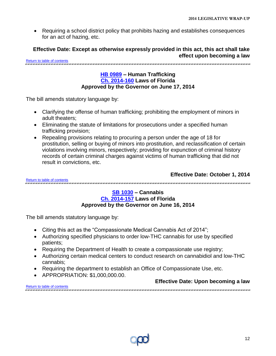Requiring a school district policy that prohibits hazing and establishes consequences for an act of hazing, etc.

**Effective Date: Except as otherwise expressly provided in this act, this act shall take effect upon becoming a law** 

<span id="page-11-0"></span>[Return to table of contents](#page-1-0)

#### **HB [0989](http://www.myfloridahouse.gov/Sections/Documents/loaddoc.aspx?FileName=_h0989er.docx&DocumentType=Bill&BillNumber=0989&Session=2014) – Human Trafficking [Ch. 2014-160](http://laws.flrules.org/2014/160) Laws of Florida Approved by the Governor on June 17, 2014**

The bill amends statutory language by:

- Clarifying the offense of human trafficking; prohibiting the employment of minors in adult theaters;
- Eliminating the statute of limitations for prosecutions under a specified human trafficking provision;
- Repealing provisions relating to procuring a person under the age of 18 for prostitution, selling or buying of minors into prostitution, and reclassification of certain violations involving minors, respectively; providing for expunction of criminal history records of certain criminal charges against victims of human trafficking that did not result in convictions, etc.

#### **Effective Date: October 1, 2014**

<span id="page-11-1"></span>[Return to table of contents](#page-1-0)

#### **[SB 1030](http://www.flsenate.gov/Session/Bill/2014/1030/BillText/er/PDF) – Cannabis [Ch. 2014-157](http://laws.flrules.org/2014/157) Laws of Florida Approved by the Governor on June 16, 2014**

- Citing this act as the "Compassionate Medical Cannabis Act of 2014";
- Authorizing specified physicians to order low-THC cannabis for use by specified patients;
- Requiring the Department of Health to create a compassionate use registry;
- Authorizing certain medical centers to conduct research on cannabidiol and low-THC cannabis;
- Requiring the department to establish an Office of Compassionate Use, etc.
- APPROPRIATION: \$1,000,000.00.

|                             | <b>Effective Date: Upon becoming a law</b> |
|-----------------------------|--------------------------------------------|
| Return to table of contents |                                            |

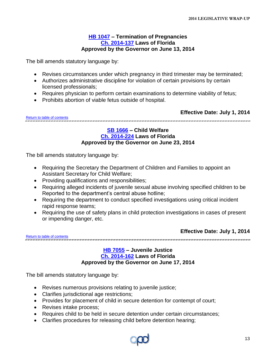#### **[HB 1047](http://www.myfloridahouse.gov/Sections/Documents/loaddoc.aspx?FileName=_h1047er.docx&DocumentType=Bill&BillNumber=1047&Session=2014) – Termination of Pregnancies [Ch. 2014-137](http://laws.flrules.org/2014/137) Laws of Florida Approved by the Governor on June 13, 2014**

<span id="page-12-0"></span>The bill amends statutory language by:

- Revises circumstances under which pregnancy in third trimester may be terminated;
- Authorizes administrative discipline for violation of certain provisions by certain licensed professionals;
- Requires physician to perform certain examinations to determine viability of fetus;
- Prohibits abortion of viable fetus outside of hospital.

<span id="page-12-1"></span>**Effective Date: July 1, 2014** [Return to table of contents](#page-1-0) 

#### **[SB 1666](http://www.flsenate.gov/Session/Bill/2014/1666/BillText/er/PDF) – Child Welfare [Ch. 2014-224](http://laws.flrules.org/2014/224) Laws of Florida Approved by the Governor on June 23, 2014**

The bill amends statutory language by:

- Requiring the Secretary the Department of Children and Families to appoint an Assistant Secretary for Child Welfare;
- Providing qualifications and responsibilities;
- Requiring alleged incidents of juvenile sexual abuse involving specified children to be Reported to the department's central abuse hotline;
- Requiring the department to conduct specified investigations using critical incident rapid response teams;
- Requiring the use of safety plans in child protection investigations in cases of present or impending danger, etc.

**Effective Date: July 1, 2014**

<span id="page-12-2"></span>[Return to table of contents](#page-1-0) .<br>ראו לא ראו מס הארגאי מאו אוראו מאראו הארגאי מאו או מאו מאו מאראו הארגאי מאו מאראו מאו מאו מאו מאו מאו מאו מאראו האר

#### **[HB 7055](http://www.myfloridahouse.gov/Sections/Documents/loaddoc.aspx?FileName=_h7055er.docx&DocumentType=Bill&BillNumber=7055&Session=2014) – Juvenile Justice [Ch. 2014-162](http://laws.flrules.org/2014/162) Laws of Florida Approved by the Governor on June 17, 2014**

- Revises numerous provisions relating to juvenile justice;
- Clarifies jurisdictional age restrictions;
- Provides for placement of child in secure detention for contempt of court;
- Revises intake process:
- Requires child to be held in secure detention under certain circumstances;
- Clarifies procedures for releasing child before detention hearing;

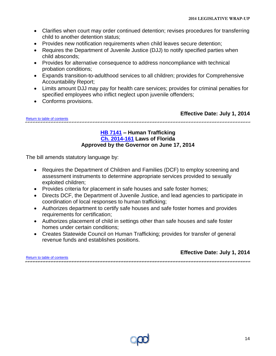- Clarifies when court may order continued detention; revises procedures for transferring child to another detention status;
- Provides new notification requirements when child leaves secure detention;
- Requires the Department of Juvenile Justice (DJJ) to notify specified parties when child absconds;
- Provides for alternative consequence to address noncompliance with technical probation conditions;
- Expands transition-to-adulthood services to all children; provides for Comprehensive Accountability Report;
- Limits amount DJJ may pay for health care services; provides for criminal penalties for specified employees who inflict neglect upon juvenile offenders;
- Conforms provisions.

**Effective Date: July 1, 2014**

<span id="page-13-0"></span>[Return to table of contents](#page-1-0) 

#### **[HB 7141](http://www.myfloridahouse.gov/Sections/Documents/loaddoc.aspx?FileName=_h7141er.docx&DocumentType=Bill&BillNumber=7141&Session=2014) – Human Trafficking [Ch. 2014-161](http://laws.flrules.org/2014/161) Laws of Florida Approved by the Governor on June 17, 2014**

The bill amends statutory language by:

- Requires the Department of Children and Families (DCF) to employ screening and assessment instruments to determine appropriate services provided to sexually exploited children;
- Provides criteria for placement in safe houses and safe foster homes;
- Directs DCF, the Department of Juvenile Justice, and lead agencies to participate in coordination of local responses to human trafficking;
- Authorizes department to certify safe houses and safe foster homes and provides requirements for certification;
- Authorizes placement of child in settings other than safe houses and safe foster homes under certain conditions;
- Creates Statewide Council on Human Trafficking; provides for transfer of general revenue funds and establishes positions.

[Return to table of contents](#page-1-0)

**Effective Date: July 1, 2014**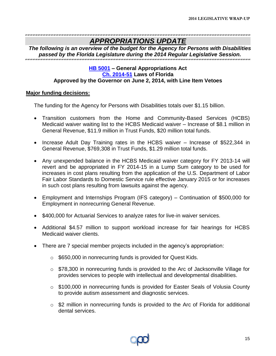### *APPROPRIATIONS UPDATE*

<span id="page-14-0"></span>*The following is an overview of the budget for the Agency for Persons with Disabilities passed by the Florida Legislature during the 2014 Regular Legislative Session.*

### **[HB 5001](http://www.myfloridahouse.gov/Sections/Documents/loaddoc.aspx?FileName=er_GAA.pdf&DocumentType=Bill&BillNumber=5001&Session=2014) – General Appropriations Act [Ch. 2014-51](http://laws.flrules.org/2014/51) Laws of Florida Approved by the Governor on June 2, 2014, with Line Item Vetoes**

#### **Major funding decisions:**

The funding for the Agency for Persons with Disabilities totals over \$1.15 billion.

- Transition customers from the Home and Community-Based Services (HCBS) Medicaid waiver waiting list to the HCBS Medicaid waiver – Increase of \$8.1 million in General Revenue, \$11.9 million in Trust Funds, \$20 million total funds.
- Increase Adult Day Training rates in the HCBS waiver Increase of \$522,344 in General Revenue, \$769,308 in Trust Funds, \$1.29 million total funds.
- Any unexpended balance in the HCBS Medicaid waiver category for FY 2013-14 will revert and be appropriated in FY 2014-15 in a Lump Sum category to be used for increases in cost plans resulting from the application of the U.S. Department of Labor Fair Labor Standards to Domestic Service rule effective January 2015 or for increases in such cost plans resulting from lawsuits against the agency.
- Employment and Internships Program (IFS category) Continuation of \$500,000 for Employment in nonrecurring General Revenue.
- \$400,000 for Actuarial Services to analyze rates for live-in waiver services.
- Additional \$4.57 million to support workload increase for fair hearings for HCBS Medicaid waiver clients.
- There are 7 special member projects included in the agency's appropriation:
	- o \$650,000 in nonrecurring funds is provided for Quest Kids.
	- o \$78,300 in nonrecurring funds is provided to the Arc of Jacksonville Village for provides services to people with intellectual and developmental disabilities.
	- o \$100,000 in nonrecurring funds is provided for Easter Seals of Volusia County to provide autism assessment and diagnostic services.
	- $\circ$  \$2 million in nonrecurring funds is provided to the Arc of Florida for additional dental services.

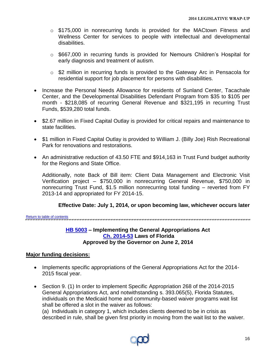- o \$175,000 in nonrecurring funds is provided for the MACtown Fitness and Wellness Center for services to people with intellectual and developmental disabilities.
- o \$667,000 in recurring funds is provided for Nemours Children's Hospital for early diagnosis and treatment of autism.
- o \$2 million in recurring funds is provided to the Gateway Arc in Pensacola for residential support for job placement for persons with disabilities.
- Increase the Personal Needs Allowance for residents of Sunland Center, Tacachale Center, and the Developmental Disabilities Defendant Program from \$35 to \$105 per month - \$218,085 of recurring General Revenue and \$321,195 in recurring Trust Funds, \$539,280 total funds.
- \$2.67 million in Fixed Capital Outlay is provided for critical repairs and maintenance to state facilities.
- \$1 million in Fixed Capital Outlay is provided to William J. (Billy Joe) Rish Recreational Park for renovations and restorations.
- An administrative reduction of 43.50 FTE and \$914,163 in Trust Fund budget authority for the Regions and State Office.

Additionally, note Back of Bill item: Client Data Management and Electronic Visit Verification project – \$750,000 in nonrecurring General Revenue, \$750,000 in nonrecurring Trust Fund, \$1.5 million nonrecurring total funding – reverted from FY 2013-14 and appropriated for FY 2014-15.

### **Effective Date: July 1, 2014, or upon becoming law, whichever occurs later**

<span id="page-15-0"></span>[Return to table of contents](#page-1-0)

#### **[HB 5003](http://www.myfloridahouse.gov/Sections/Documents/loaddoc.aspx?FileName=_h5003er.docx&DocumentType=Bill&BillNumber=5003&Session=2014) – Implementing the General Appropriations Act [Ch. 2014-53](http://laws.flrules.org/2014/53) Laws of Florida Approved by the Governor on June 2, 2014**

### **Major funding decisions:**

- Implements specific appropriations of the General Appropriations Act for the 2014-2015 fiscal year.
- Section 9. (1) In order to implement Specific Appropriation 268 of the 2014-2015 General Appropriations Act, and notwithstanding s. 393.065(5), Florida Statutes, individuals on the Medicaid home and community-based waiver programs wait list shall be offered a slot in the waiver as follows:

(a) Individuals in category 1, which includes clients deemed to be in crisis as described in rule, shall be given first priority in moving from the wait list to the waiver.

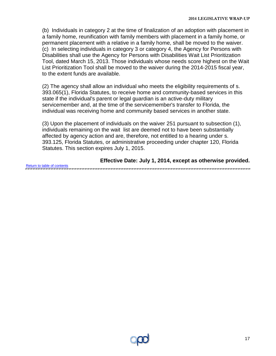(b) Individuals in category 2 at the time of finalization of an adoption with placement in a family home, reunification with family members with placement in a family home, or permanent placement with a relative in a family home, shall be moved to the waiver. (c) In selecting individuals in category 3 or category 4, the Agency for Persons with Disabilities shall use the Agency for Persons with Disabilities Wait List Prioritization Tool, dated March 15, 2013. Those individuals whose needs score highest on the Wait List Prioritization Tool shall be moved to the waiver during the 2014-2015 fiscal year, to the extent funds are available.

(2) The agency shall allow an individual who meets the eligibility requirements of s. 393.065(1), Florida Statutes, to receive home and community-based services in this state if the individual's parent or legal guardian is an active-duty military servicemember and, at the time of the servicemember's transfer to Florida, the individual was receiving home and community based services in another state.

(3) Upon the placement of individuals on the waiver 251 pursuant to subsection (1), individuals remaining on the wait list are deemed not to have been substantially affected by agency action and are, therefore, not entitled to a hearing under s. 393.125, Florida Statutes, or administrative proceeding under chapter 120, Florida Statutes. This section expires July 1, 2015.

**Effective Date: July 1, 2014, except as otherwise provided.** [Return to table of contents](#page-1-0)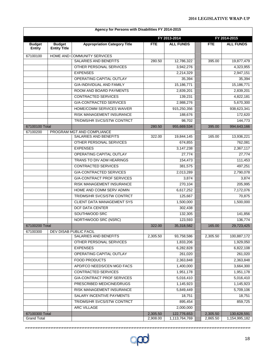|                                |                                      | Agency for Persons with Disabilities FY 2014-2015          |            |                     |            |                  |  |
|--------------------------------|--------------------------------------|------------------------------------------------------------|------------|---------------------|------------|------------------|--|
|                                |                                      |                                                            |            | FY 2013-2014        |            | FY 2014-2015     |  |
| <b>Budget</b><br><b>Entity</b> | <b>Budget</b><br><b>Entity Title</b> | <b>Appropriation Category Title</b>                        | <b>FTE</b> | <b>ALL FUNDS</b>    | <b>FTE</b> | <b>ALL FUNDS</b> |  |
| 67100100                       |                                      | HOME AND COMMUNITY SERVICES                                |            |                     |            |                  |  |
|                                |                                      | <b>SALARIES AND BENEFITS</b>                               | 280.50     | 12,786,322          | 395.00     | 19,877,479       |  |
|                                |                                      | OTHER PERSONAL SERVICES                                    |            | 3,942,276           |            | 4,323,955        |  |
|                                |                                      | <b>EXPENSES</b>                                            |            | 2,214,329           |            | 2,947,151        |  |
|                                |                                      | OPERATING CAPITAL OUTLAY                                   |            | 35,394              |            | 35,394           |  |
|                                |                                      | <b>G/A-INDIVIDUAL AND FAMILY</b>                           |            | 15,186,771          |            | 15,186,771       |  |
|                                |                                      | ROOM AND BOARD PAYMENTS                                    |            | 2,839,201           |            | 2,839,201        |  |
|                                |                                      | <b>CONTRACTED SERVICES</b>                                 |            | 139,231             |            | 4,822,181        |  |
|                                |                                      | <b>G/A-CONTRACTED SERVICES</b>                             |            | 2,988,276           |            | 5,670,300        |  |
|                                |                                      | HOME/COMM SERVICES WAIVER                                  |            | 915,250,356         |            | 938,623,341      |  |
|                                |                                      | <b>RISK MANAGEMENT INSURANCE</b>                           |            | 188,676             |            | 172,620          |  |
|                                |                                      | TR/DMS/HR SVCS/STW CONTRCT                                 |            | 98,702              |            | 144,773          |  |
| 67100100 Total                 |                                      |                                                            | 280.50     | 955,669,534         | 395.00     | 994,643,166      |  |
| 67100200                       |                                      | PROGRAM MGT AND COMPLIANCE<br><b>SALARIES AND BENEFITS</b> | 322.00     | 19,844,145          | 165.00     | 13,936,221       |  |
|                                |                                      | OTHER PERSONAL SERVICES                                    |            | 674,855             |            | 762,081          |  |
|                                |                                      | <b>EXPENSES</b>                                            |            | 3,147,238           |            | 2,367,117        |  |
|                                |                                      | OPERATING CAPITAL OUTLAY                                   |            | $\overline{27,774}$ |            | 27,774           |  |
|                                |                                      | TRANS TO DIV ADM HEARINGS                                  |            | 154,473             |            | 111,453          |  |
|                                |                                      | <b>CONTRACTED SERVICES</b>                                 |            | 381,575             |            | 497,251          |  |
|                                |                                      | <b>G/A-CONTRACTED SERVICES</b>                             |            | 2,013,289           |            | 2,790,078        |  |
|                                |                                      | <b>G/A-CONTRACT PROF SERVICES</b>                          |            | 3,874               |            | 3,874            |  |
|                                |                                      | RISK MANAGEMENT INSURANCE                                  |            | 270,104             |            | 205,995          |  |
|                                |                                      | HOME AND COMM SERV ADMIN                                   |            | 6,617,252           |            | 7,172,076        |  |
|                                |                                      | TR/DMS/HR SVCS/STW CONTRCT                                 |            | 125,667             |            | 70,875           |  |
|                                |                                      | CLIENT DATA MANAGEMENT SYS                                 |            | 1,500,000           |            | 1,500,000        |  |
|                                |                                      | <b>DCF DATA CENTER</b>                                     |            | 302,438             |            |                  |  |
|                                |                                      | SOUTHWOOD SRC                                              |            | 132,305             |            | 141,856          |  |
|                                |                                      | NORTHWOOD SRC (NSRC)                                       |            | 123,593             |            | 136,774          |  |
| 67100200 Total                 |                                      |                                                            | 322.00     | 35,318,582          | 165.00     | 29,723,425       |  |
| 67100300                       |                                      | DEV DISAB PUBLIC FACIL                                     |            |                     |            |                  |  |
|                                |                                      | SALARIES AND BENEFITS                                      | 2,305.50   | 93,758,586          | 2,305.50   | 100,887,172      |  |
|                                |                                      | OTHER PERSONAL SERVICES                                    |            | 1,833,206           |            | 1,929,050        |  |
|                                |                                      | <b>EXPENSES</b>                                            |            | 6,282,828           |            | 6,822,108        |  |
|                                |                                      | OPERATING CAPITAL OUTLAY                                   |            | 261,020             |            | 261,020          |  |
|                                |                                      | <b>FOOD PRODUCTS</b>                                       |            | 2,363,848           |            | 2,363,848        |  |
|                                |                                      | APD/FCO NEEDS/CEN MGD FACS                                 |            | 1,400,000           |            | 3,664,300        |  |
|                                |                                      | CONTRACTED SERVICES                                        |            | 1,951,178           |            | 1,951,178        |  |
|                                |                                      | <b>G/A-CONTRACT PROF SERVICES</b>                          |            | 5,016,410           |            | 5,016,410        |  |
|                                |                                      | PRESCRIBED MEDICINE/DRUGS                                  |            | 1,145,923           |            | 1,145,923        |  |
|                                |                                      | RISK MANAGEMENT INSURANCE                                  |            | 5,849,449           |            | 5,709,106        |  |
|                                |                                      | SALARY INCENTIVE PAYMENTS                                  |            | 18,751              |            | 18,751           |  |
|                                |                                      | TR/DMS/HR SVCS/STW CONTRCT                                 |            | 895,454             |            | 859,725          |  |
|                                |                                      | <b>ARC VILLAGE</b>                                         |            | 2,000,000           |            |                  |  |
| 67100300 Total                 |                                      |                                                            | 2,305.50   | 122,776,653         | 2,305.50   | 130,628,591      |  |
| <b>Grand Total</b>             |                                      |                                                            | 2,908.00   | 1,113,764,769       | 2,865.50   | 1,154,995,182    |  |

anna ann an chaill an chaill an chaill an chaill an chaill an chaill ann an chaill an chaill an chaill an chaill an chaill an chaill an chaill an chaill an chaill an chaill an chaill an

 $\circ \infty$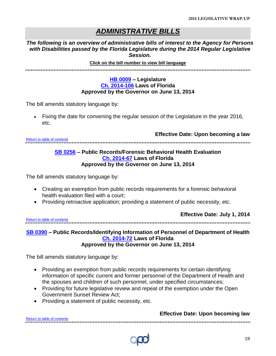### *ADMINISTRATIVE BILLS*

*The following is an overview of administrative bills of interest to the Agency for Persons with Disabilities passed by the Florida Legislature during the 2014 Regular Legislative Session.*

#### <span id="page-18-0"></span>**Click on the bill number to view bill language**

#### **[HB 0009](http://www.myfloridahouse.gov/Sections/Documents/loaddoc.aspx?FileName=_h0009er.docx&DocumentType=Bill&BillNumber=0009&Session=2014) – Legislature [Ch. 2014-106](http://laws.flrules.org/2014/106) Laws of Florida Approved by the Governor on June 13, 2014**

The bill amends statutory language by:

 Fixing the date for convening the regular session of the Legislature in the year 2016, etc.

**Effective Date: Upon becoming a law**

<span id="page-18-1"></span>[Return to table of contents](#page-1-0)

#### **[SB 0256](http://www.flsenate.gov/Session/Bill/2014/0256/BillText/er/PDF) – Public Records/Forensic Behavioral Health Evaluation [Ch. 2014-67](http://laws.flrules.org/2014/67) Laws of Florida Approved by the Governor on June 13, 2014**

The bill amends statutory language by:

- Creating an exemption from public records requirements for a forensic behavioral health evaluation filed with a court;
- Providing retroactive application; providing a statement of public necessity, etc.

**[Return to table of contents](#page-1-0)** 

**Effective Date: July 1, 2014**

#### <span id="page-18-2"></span>**[SB 0390](http://www.flsenate.gov/Session/Bill/2014/0390/BillText/er/PDF) – Public Records/Identifying Information of Personnel of Department of Health [Ch. 2014-72](http://laws.flrules.org/2014/72) Laws of Florida Approved by the Governor on June 13, 2014**

The bill amends statutory language by:

- Providing an exemption from public records requirements for certain identifying information of specific current and former personnel of the Department of Health and the spouses and children of such personnel, under specified circumstances;
- Providing for future legislative review and repeal of the exemption under the Open Government Sunset Review Act;
- Providing a statement of public necessity, etc.

#### **Effective Date: Upon becoming law**

[Return to table of contents](#page-1-0)

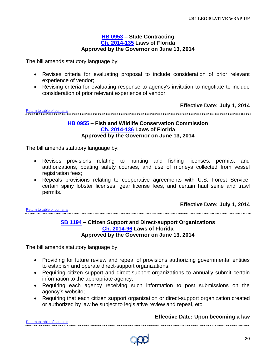#### **[HB 0953](http://www.myfloridahouse.gov/Sections/Documents/loaddoc.aspx?FileName=_h0953er.docx&DocumentType=Bill&BillNumber=0953&Session=2014) – State Contracting [Ch. 2014-135](http://laws.flrules.org/2014/135) Laws of Florida Approved by the Governor on June 13, 2014**

<span id="page-19-0"></span>The bill amends statutory language by:

- Revises criteria for evaluating proposal to include consideration of prior relevant experience of vendor;
- Revising criteria for evaluating response to agency's invitation to negotiate to include consideration of prior relevant experience of vendor.

**Effective Date: July 1, 2014**

<span id="page-19-1"></span>[Return to table of contents](#page-1-0) 

#### **[HB 0955](http://www.myfloridahouse.gov/Sections/Documents/loaddoc.aspx?FileName=_h0955er.docx&DocumentType=Bill&BillNumber=0955&Session=2014) – Fish and Wildlife Conservation Commission [Ch. 2014-136](http://laws.flrules.org/2014/136) Laws of Florida Approved by the Governor on June 13, 2014**

The bill amends statutory language by:

- Revises provisions relating to hunting and fishing licenses, permits, and authorizations, boating safety courses, and use of moneys collected from vessel registration fees;
- Repeals provisions relating to cooperative agreements with U.S. Forest Service, certain spiny lobster licenses, gear license fees, and certain haul seine and trawl permits.

**Effective Date: July 1, 2014**

<span id="page-19-2"></span>[Return to table of contents](#page-1-0)

#### **[SB 1194](http://www.flsenate.gov/Session/Bill/2014/1194/BillText/er/PDF) – Citizen Support and Direct-support Organizations [Ch. 2014-96](http://laws.flrules.org/2014/96) Laws of Florida Approved by the Governor on June 13, 2014**

The bill amends statutory language by:

- Providing for future review and repeal of provisions authorizing governmental entities to establish and operate direct-support organizations;
- Requiring citizen support and direct-support organizations to annually submit certain information to the appropriate agency;
- Requiring each agency receiving such information to post submissions on the agency's website;
- Requiring that each citizen support organization or direct-support organization created or authorized by law be subject to legislative review and repeal, etc.

#### **Effective Date: Upon becoming a law**

[Return to table of contents](#page-1-0)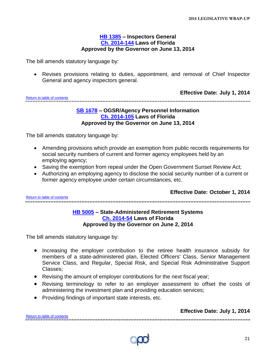#### **[HB 1385](http://www.myfloridahouse.gov/Sections/Documents/loaddoc.aspx?FileName=_h1385er.docx&DocumentType=Bill&BillNumber=1385&Session=2014) – Inspectors General [Ch. 2014-144](http://laws.flrules.org/2014/144) Laws of Florida Approved by the Governor on June 13, 2014**

<span id="page-20-0"></span>The bill amends statutory language by:

 Revises provisions relating to duties, appointment, and removal of Chief Inspector General and agency inspectors general.

**Effective Date: July 1, 2014**

<span id="page-20-1"></span>[Return to table of contents](#page-1-0)

#### **[SB 1678](http://www.flsenate.gov/Session/Bill/2014/1678/BillText/er/PDF) – OGSR/Agency Personnel Information [Ch. 2014-105](http://laws.flrules.org/2014/105) Laws of Florida Approved by the Governor on June 13, 2014**

The bill amends statutory language by:

- Amending provisions which provide an exemption from public records requirements for social security numbers of current and former agency employees held by an employing agency;
- Saving the exemption from repeal under the Open Government Sunset Review Act;
- Authorizing an employing agency to disclose the social security number of a current or former agency employee under certain circumstances, etc.

<span id="page-20-2"></span>[Return to table of contents](#page-1-0)

**Effective Date: October 1, 2014**

#### **[HB 5005](http://www.myfloridahouse.gov/Sections/Documents/loaddoc.aspx?FileName=_h5005er.docx&DocumentType=Bill&BillNumber=5005&Session=2014) – State-Administered Retirement Systems [Ch. 2014-54](http://laws.flrules.org/2014/54) Laws of Florida Approved by the Governor on June 2, 2014**

The bill amends statutory language by:

- Increasing the employer contribution to the retiree health insurance subsidy for members of a state-administered plan, Elected Officers' Class, Senior Management Service Class, and Regular, Special Risk, and Special Risk Administrative Support Classes;
- Revising the amount of employer contributions for the next fiscal year;

- Revising terminology to refer to an employer assessment to offset the costs of administering the investment plan and providing education services;
- Providing findings of important state interests, etc.

[Return to table of contents](#page-1-0)

#### **Effective Date: July 1, 2014**



21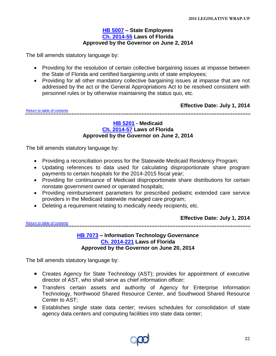#### **[HB 5007](http://www.myfloridahouse.gov/Sections/Documents/loaddoc.aspx?FileName=_h5007er.docx&DocumentType=Bill&BillNumber=5007&Session=2014) – State Employees [Ch. 2014-55](http://laws.flrules.org/2014/55) Laws of Florida Approved by the Governor on June 2, 2014**

<span id="page-21-0"></span>The bill amends statutory language by:

- Providing for the resolution of certain collective bargaining issues at impasse between the State of Florida and certified bargaining units of state employees;
- Providing for all other mandatory collective bargaining issues at impasse that are not addressed by the act or the General Appropriations Act to be resolved consistent with personnel rules or by otherwise maintaining the status quo, etc.

**Effective Date: July 1, 2014**

<span id="page-21-1"></span>[Return to table of contents](#page-1-0) 

#### **[HB 5201](http://www.myfloridahouse.gov/Sections/Documents/loaddoc.aspx?FileName=_h5201er.docx&DocumentType=Bill&BillNumber=5201&Session=2014) - Medicaid [Ch. 2014-57](http://laws.flrules.org/2014/57) Laws of Florida Approved by the Governor on June 2, 2014**

The bill amends statutory language by:

- Providing a reconciliation process for the Statewide Medicaid Residency Program;
- Updating references to data used for calculating disproportionate share program payments to certain hospitals for the 2014-2015 fiscal year;
- Providing for continuance of Medicaid disproportionate share distributions for certain nonstate government owned or operated hospitals;
- Providing reimbursement parameters for prescribed pediatric extended care service providers in the Medicaid statewide managed care program;

Deleting a requirement relating to medically needy recipients, etc.

<span id="page-21-2"></span>[Return to table of contents](#page-1-0)

**Effective Date: July 1, 2014**

**[HB 7073](http://www.myfloridahouse.gov/Sections/Documents/loaddoc.aspx?FileName=_h7073er.docx&DocumentType=Bill&BillNumber=7073&Session=2014) – Information Technology Governance [Ch. 2014-221](http://laws.flrules.org/2014/221) Laws of Florida Approved by the Governor on June 20, 2014**

- Creates Agency for State Technology (AST); provides for appointment of executive director of AST, who shall serve as chief information officer;
- Transfers certain assets and authority of Agency for Enterprise Information Technology, Northwood Shared Resource Center, and Southwood Shared Resource Center to AST;
- Establishes single state data center; revises schedules for consolidation of state agency data centers and computing facilities into state data center;